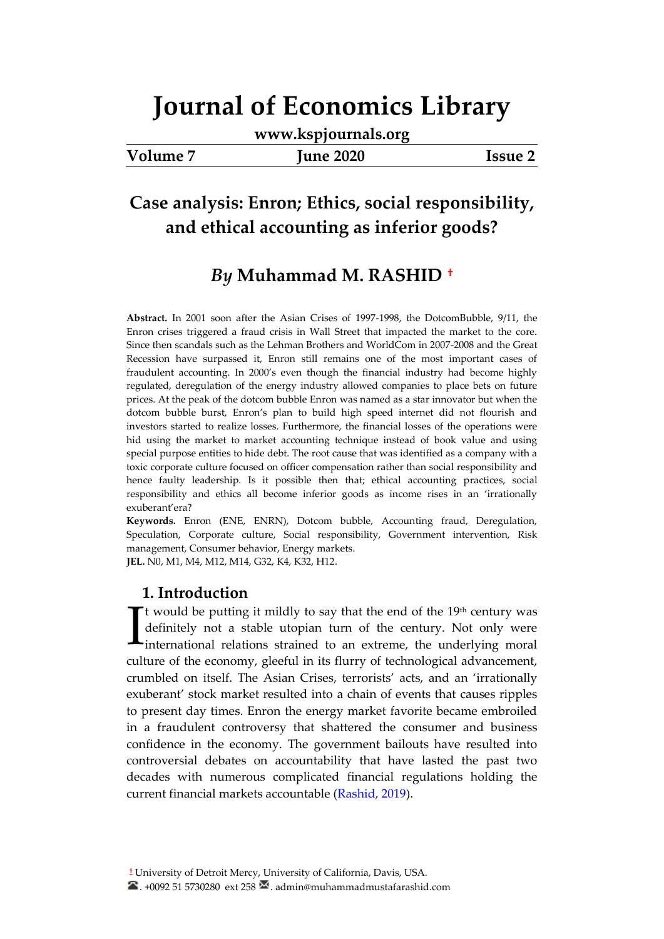**[www.kspjournals.org](file:///C:\Users\PC\AppData\Local\Temp\Rar$DIa0.150\www.kspjournals.org)**

|  | <b>Volume</b> ! |
|--|-----------------|
|--|-----------------|

**Volume 7 June 2020 Issue 2**

## **Case analysis: Enron; Ethics, social responsibility, and ethical accounting as inferior goods?**

## *By* **Muhammad M. RASHID[a](file:///C:\Users\Bilal\Desktop\Akademik\KSP%20Journals\5-%20JEB\71\A3.%20Muhammad%20Mustafa%20Rashid.docx%23YAZAR)†**

**Abstract.** In 2001 soon after the Asian Crises of 1997-1998, the DotcomBubble, 9/11, the Enron crises triggered a fraud crisis in Wall Street that impacted the market to the core. Since then scandals such as the Lehman Brothers and WorldCom in 2007-2008 and the Great Recession have surpassed it, Enron still remains one of the most important cases of fraudulent accounting. In 2000's even though the financial industry had become highly regulated, deregulation of the energy industry allowed companies to place bets on future prices. At the peak of the dotcom bubble Enron was named as a star innovator but when the dotcom bubble burst, Enron's plan to build high speed internet did not flourish and investors started to realize losses. Furthermore, the financial losses of the operations were hid using the market to market accounting technique instead of book value and using special purpose entities to hide debt. The root cause that was identified as a company with a toxic corporate culture focused on officer compensation rather than social responsibility and hence faulty leadership. Is it possible then that; ethical accounting practices, social responsibility and ethics all become inferior goods as income rises in an 'irrationally exuberant'era?

**Keywords.** Enron (ENE, ENRN), Dotcom bubble, Accounting fraud, Deregulation, Speculation, Corporate culture, Social responsibility, Government intervention, Risk management, Consumer behavior, Energy markets.

**JEL.** N0, M1, M4, M12, M14, G32, K4, K32, H12.

#### **1. Introduction**

 $\Gamma$ t would be putting it mildly to say that the end of the 19<sup>th</sup> century was definitely not a stable utopian turn of the century. Not only were It would be putting it mildly to say that the end of the 19<sup>th</sup> century was<br>definitely not a stable utopian turn of the century. Not only were<br>international relations strained to an extreme, the underlying moral<br>nullime of culture of the economy, gleeful in its flurry of technological advancement, crumbled on itself. The Asian Crises, terrorists' acts, and an 'irrationally exuberant' stock market resulted into a chain of events that causes ripples to present day times. Enron the energy market favorite became embroiled in a fraudulent controversy that shattered the consumer and business confidence in the economy. The government bailouts have resulted into controversial debates on accountability that have lasted the past two decades with numerous complicated financial regulations holding the current financial markets accountable (Rashid, 2019).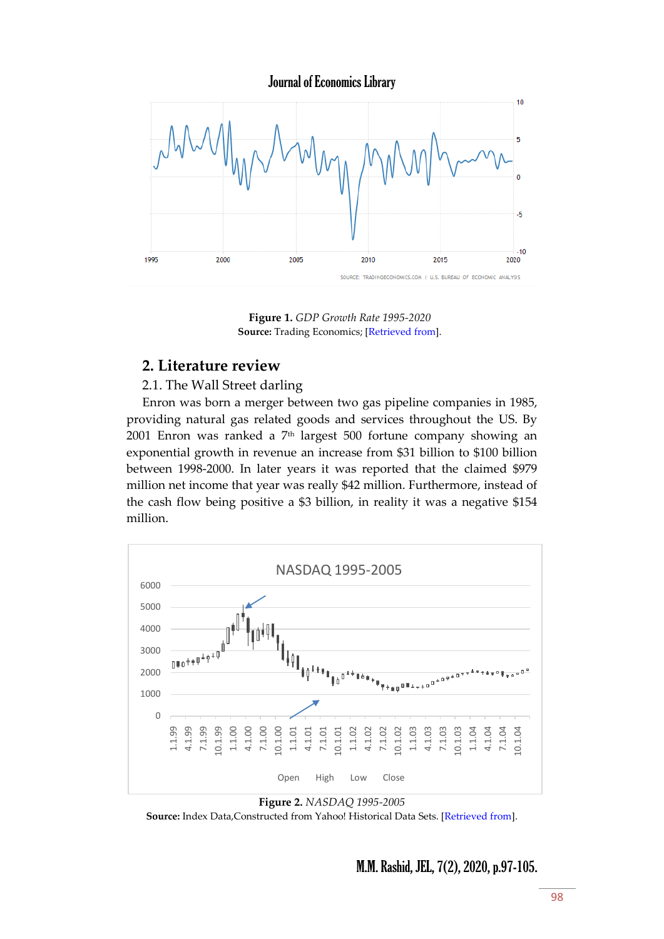Journal of Economics Library



**Figure 1.** *GDP Growth Rate 1995-2020* **Source:** Trading Economics; [\[Retrieved from\]](https://tradingeconomics.com/united-states/gdp-growth).

### **2. Literature review**

2.1. The Wall Street darling

Enron was born a merger between two gas pipeline companies in 1985, providing natural gas related goods and services throughout the US. By 2001 Enron was ranked a  $7<sup>th</sup>$  largest 500 fortune company showing an exponential growth in revenue an increase from \$31 billion to \$100 billion between 1998-2000. In later years it was reported that the claimed \$979 million net income that year was really \$42 million. Furthermore, instead of the cash flow being positive a \$3 billion, in reality it was a negative \$154 million.



**Figure 2.** *NASDAQ 1995-2005*

**Source:** Index Data,Constructed from Yahoo! Historical Data Sets. [\[Retrieved from\]](https://finance.yahoo.com/quote/%5EIXIC/history?p=%5EIXIC).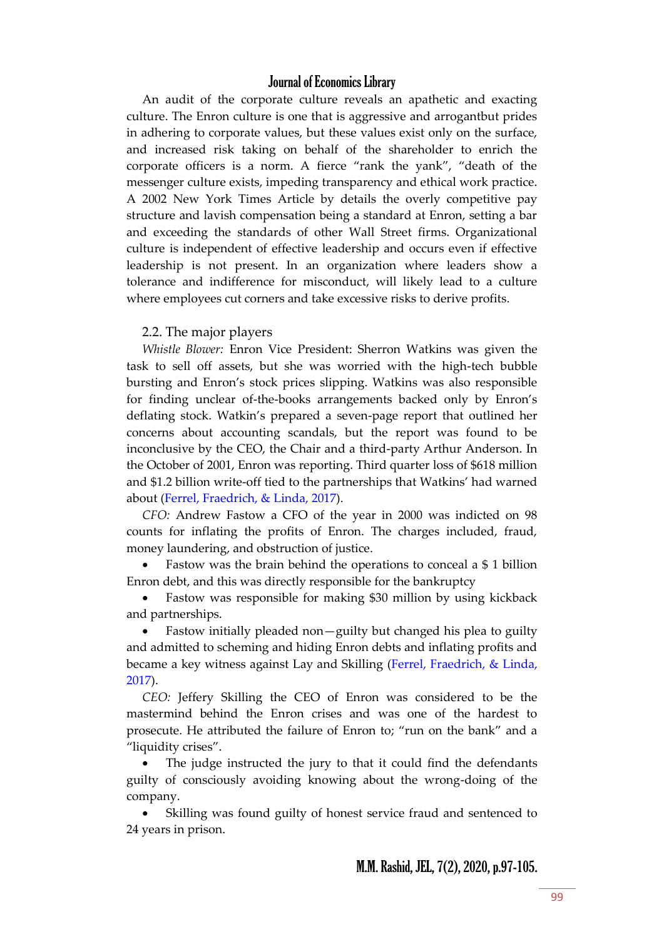An audit of the corporate culture reveals an apathetic and exacting culture. The Enron culture is one that is aggressive and arrogantbut prides in adhering to corporate values, but these values exist only on the surface, and increased risk taking on behalf of the shareholder to enrich the corporate officers is a norm. A fierce 'rank the yank', 'death of the messenger culture exists, impeding transparency and ethical work practice. A 2002 New York Times Article by details the overly competitive pay structure and lavish compensation being a standard at Enron, setting a bar and exceeding the standards of other Wall Street firms. Organizational culture is independent of effective leadership and occurs even if effective leadership is not present. In an organization where leaders show a tolerance and indifference for misconduct, will likely lead to a culture where employees cut corners and take excessive risks to derive profits.

#### 2.2. The major players

*Whistle Blower:* Enron Vice President: Sherron Watkins was given the task to sell off assets, but she was worried with the high-tech bubble bursting and Enron's stock prices slipping. Watkins was also responsible for finding unclear of-the-books arrangements backed only by Enron's deflating stock. Watkin's prepared a seven-page report that outlined her concerns about accounting scandals, but the report was found to be inconclusive by the CEO, the Chair and a third-party Arthur Anderson. In the October of 2001, Enron was reporting. Third quarter loss of \$618 million and \$1.2 billion write-off tied to the partnerships that Watkins' had warned about (Ferrel, Fraedrich, & Linda, 2017).

*CFO:* Andrew Fastow a CFO of the year in 2000 was indicted on 98 counts for inflating the profits of Enron. The charges included, fraud, money laundering, and obstruction of justice.

 Fastow was the brain behind the operations to conceal a \$ 1 billion Enron debt, and this was directly responsible for the bankruptcy

 Fastow was responsible for making \$30 million by using kickback and partnerships.

 Fastow initially pleaded non—guilty but changed his plea to guilty and admitted to scheming and hiding Enron debts and inflating profits and became a key witness against Lay and Skilling (Ferrel, Fraedrich, & Linda, 2017).

*CEO:* Jeffery Skilling the CEO of Enron was considered to be the mastermind behind the Enron crises and was one of the hardest to prosecute. He attributed the failure of Enron to; 'run on the bank' and a 'liquidity crises'.

 The judge instructed the jury to that it could find the defendants guilty of consciously avoiding knowing about the wrong-doing of the company.

 Skilling was found guilty of honest service fraud and sentenced to 24 years in prison.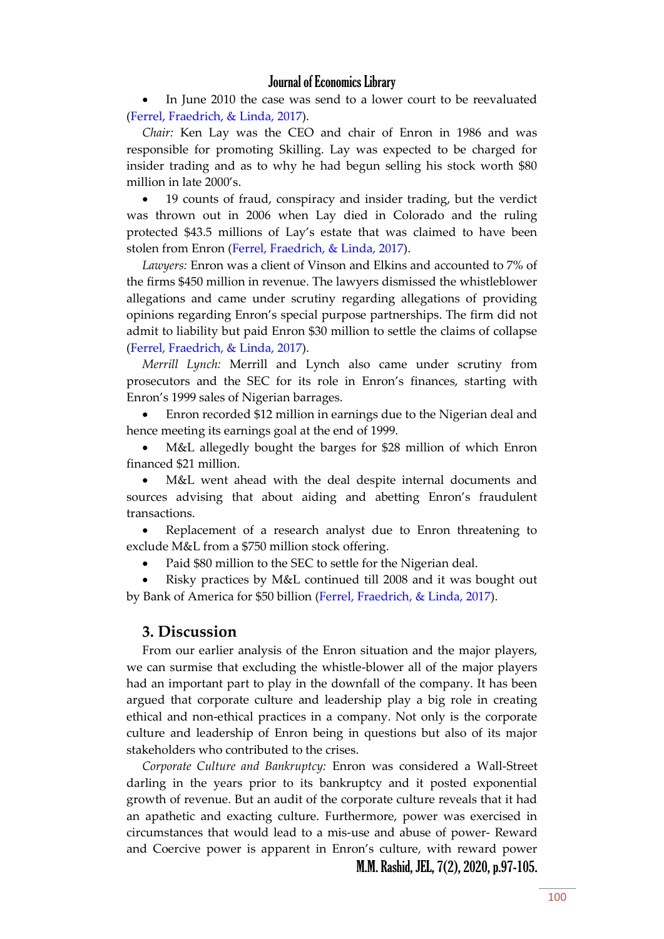In June 2010 the case was send to a lower court to be reevaluated (Ferrel, Fraedrich, & Linda, 2017).

*Chair:* Ken Lay was the CEO and chair of Enron in 1986 and was responsible for promoting Skilling. Lay was expected to be charged for insider trading and as to why he had begun selling his stock worth \$80 million in late 2000's.

 19 counts of fraud, conspiracy and insider trading, but the verdict was thrown out in 2006 when Lay died in Colorado and the ruling protected \$43.5 millions of Lay's estate that was claimed to have been stolen from Enron (Ferrel, Fraedrich, & Linda, 2017).

*Lawyers:* Enron was a client of Vinson and Elkins and accounted to 7% of the firms \$450 million in revenue. The lawyers dismissed the whistleblower allegations and came under scrutiny regarding allegations of providing opinions regarding Enron's special purpose partnerships. The firm did not admit to liability but paid Enron \$30 million to settle the claims of collapse (Ferrel, Fraedrich, & Linda, 2017).

*Merrill Lynch:* Merrill and Lynch also came under scrutiny from prosecutors and the SEC for its role in Enron's finances, starting with Enron's 1999 sales of Nigerian barrages.

 Enron recorded \$12 million in earnings due to the Nigerian deal and hence meeting its earnings goal at the end of 1999.

 M&L allegedly bought the barges for \$28 million of which Enron financed \$21 million.

 M&L went ahead with the deal despite internal documents and sources advising that about aiding and abetting Enron's fraudulent transactions.

 Replacement of a research analyst due to Enron threatening to exclude M&L from a \$750 million stock offering.

Paid \$80 million to the SEC to settle for the Nigerian deal.

 Risky practices by M&L continued till 2008 and it was bought out by Bank of America for \$50 billion (Ferrel, Fraedrich, & Linda, 2017).

#### **3. Discussion**

From our earlier analysis of the Enron situation and the major players, we can surmise that excluding the whistle-blower all of the major players had an important part to play in the downfall of the company. It has been argued that corporate culture and leadership play a big role in creating ethical and non-ethical practices in a company. Not only is the corporate culture and leadership of Enron being in questions but also of its major stakeholders who contributed to the crises.

*Corporate Culture and Bankruptcy:* Enron was considered a Wall-Street darling in the years prior to its bankruptcy and it posted exponential growth of revenue. But an audit of the corporate culture reveals that it had an apathetic and exacting culture. Furthermore, power was exercised in circumstances that would lead to a mis-use and abuse of power- Reward and Coercive power is apparent in Enron's culture, with reward power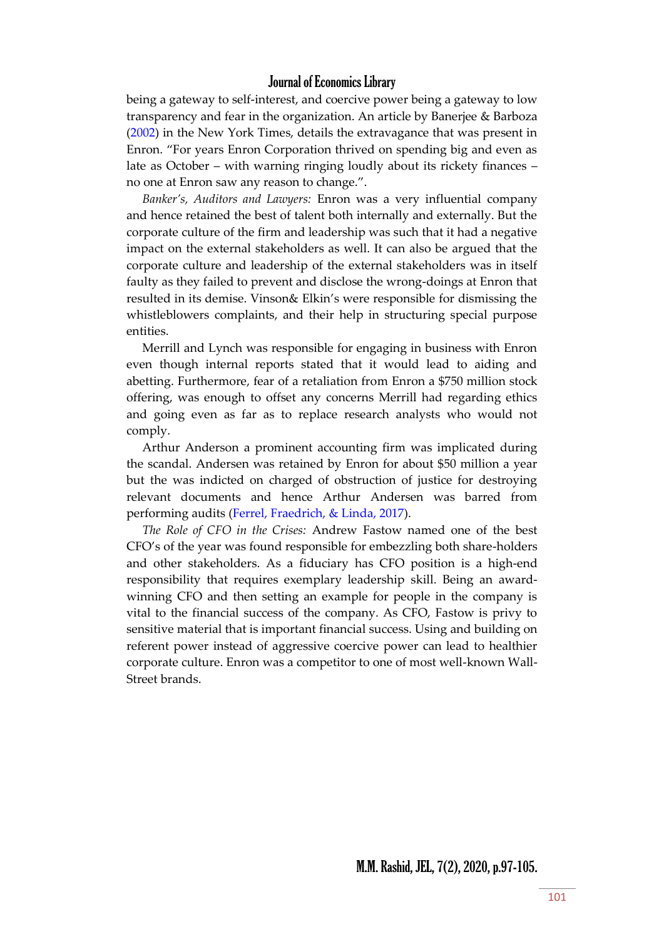being a gateway to self-interest, and coercive power being a gateway to low transparency and fear in the organization. An article by Banerjee & Barboza (2002) in the New York Times, details the extravagance that was present in Enron. 'For years Enron Corporation thrived on spending big and even as late as October – with warning ringing loudly about its rickety finances – no one at Enron saw any reason to change.'.

*Banker's, Auditors and Lawyers:* Enron was a very influential company and hence retained the best of talent both internally and externally. But the corporate culture of the firm and leadership was such that it had a negative impact on the external stakeholders as well. It can also be argued that the corporate culture and leadership of the external stakeholders was in itself faulty as they failed to prevent and disclose the wrong-doings at Enron that resulted in its demise. Vinson& Elkin's were responsible for dismissing the whistleblowers complaints, and their help in structuring special purpose entities.

Merrill and Lynch was responsible for engaging in business with Enron even though internal reports stated that it would lead to aiding and abetting. Furthermore, fear of a retaliation from Enron a \$750 million stock offering, was enough to offset any concerns Merrill had regarding ethics and going even as far as to replace research analysts who would not comply.

Arthur Anderson a prominent accounting firm was implicated during the scandal. Andersen was retained by Enron for about \$50 million a year but the was indicted on charged of obstruction of justice for destroying relevant documents and hence Arthur Andersen was barred from performing audits (Ferrel, Fraedrich, & Linda, 2017).

*The Role of CFO in the Crises:* Andrew Fastow named one of the best CFO's of the year was found responsible for embezzling both share-holders and other stakeholders. As a fiduciary has CFO position is a high-end responsibility that requires exemplary leadership skill. Being an awardwinning CFO and then setting an example for people in the company is vital to the financial success of the company. As CFO, Fastow is privy to sensitive material that is important financial success. Using and building on referent power instead of aggressive coercive power can lead to healthier corporate culture. Enron was a competitor to one of most well-known Wall-Street brands.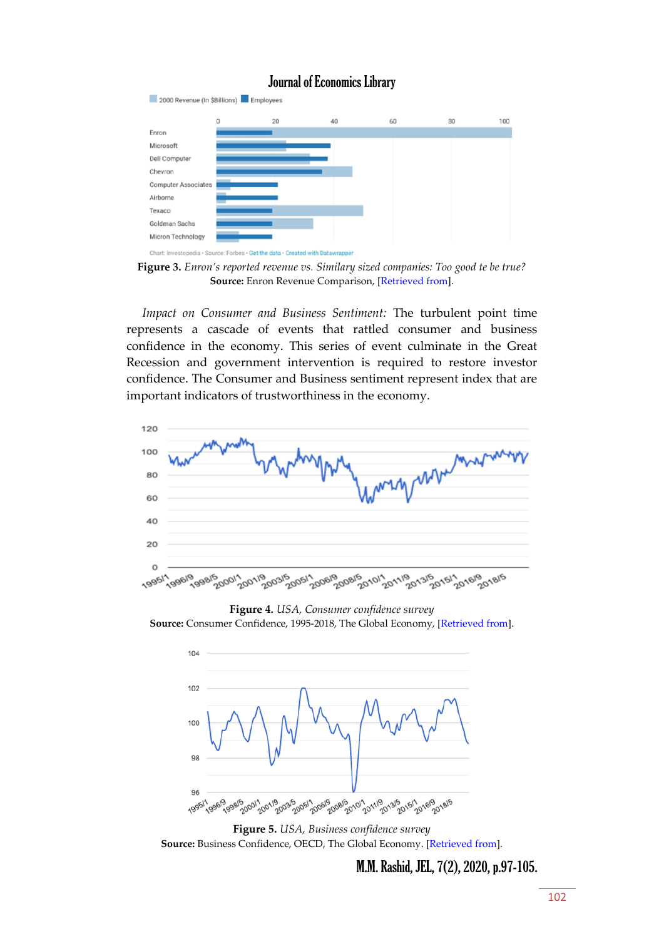

**Figure 3.** *Enron's reported revenue vs. Similary sized companies: Too good te be true?* **Source:** Enron Revenue Comparison, [\[Retrieved from\]](https://www.investopedia.com/updates/enron-scandal-summary/).

*Impact on Consumer and Business Sentiment:* The turbulent point time represents a cascade of events that rattled consumer and business confidence in the economy. This series of event culminate in the Great Recession and government intervention is required to restore investor confidence. The Consumer and Business sentiment represent index that are important indicators of trustworthiness in the economy.



**Figure 4.** *USA, Consumer confidence survey*

Source: Consumer Confidence, 1995-2018, The Global Economy, [\[Retrieved from\]](https://www.theglobaleconomy.com/USA/consumer_confidence_survey/).



**Figure 5.** *USA, Business confidence survey* **Source:** Business Confidence, OECD, The Global Economy. [\[Retrieved from\]](https://www.theglobaleconomy.com/USA/business_confidence_survey/).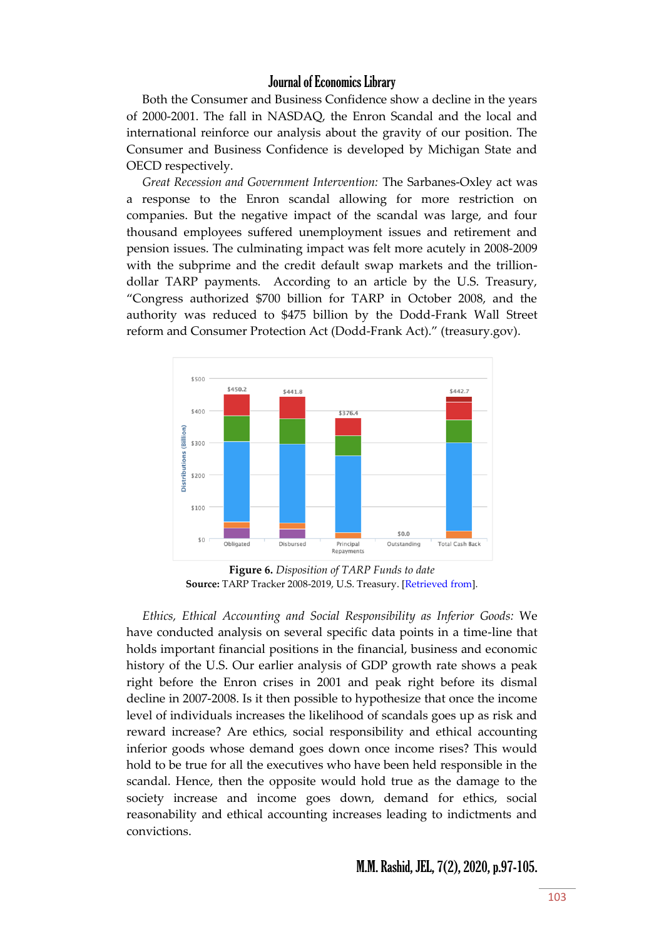Both the Consumer and Business Confidence show a decline in the years of 2000-2001. The fall in NASDAQ, the Enron Scandal and the local and international reinforce our analysis about the gravity of our position. The Consumer and Business Confidence is developed by Michigan State and OECD respectively.

*Great Recession and Government Intervention:* The Sarbanes-Oxley act was a response to the Enron scandal allowing for more restriction on companies. But the negative impact of the scandal was large, and four thousand employees suffered unemployment issues and retirement and pension issues. The culminating impact was felt more acutely in 2008-2009 with the subprime and the credit default swap markets and the trilliondollar TARP payments. According to an article by the U.S. Treasury, 'Congress authorized \$700 billion for TARP in October 2008, and the authority was reduced to \$475 billion by the Dodd-Frank Wall Street reform and Consumer Protection Act (Dodd-Frank Act).' (treasury.gov).



**Figure 6.** *Disposition of TARP Funds to date* **Source:** TARP Tracker 2008-2019, U.S. Treasury. [\[Retrieved from\]](https://www.treasury.gov/initiatives/financial-stability/reports/Pages/TARP-Tracker.aspx#All).

*Ethics, Ethical Accounting and Social Responsibility as Inferior Goods:* We have conducted analysis on several specific data points in a time-line that holds important financial positions in the financial, business and economic history of the U.S. Our earlier analysis of GDP growth rate shows a peak right before the Enron crises in 2001 and peak right before its dismal decline in 2007-2008. Is it then possible to hypothesize that once the income level of individuals increases the likelihood of scandals goes up as risk and reward increase? Are ethics, social responsibility and ethical accounting inferior goods whose demand goes down once income rises? This would hold to be true for all the executives who have been held responsible in the scandal. Hence, then the opposite would hold true as the damage to the society increase and income goes down, demand for ethics, social reasonability and ethical accounting increases leading to indictments and convictions.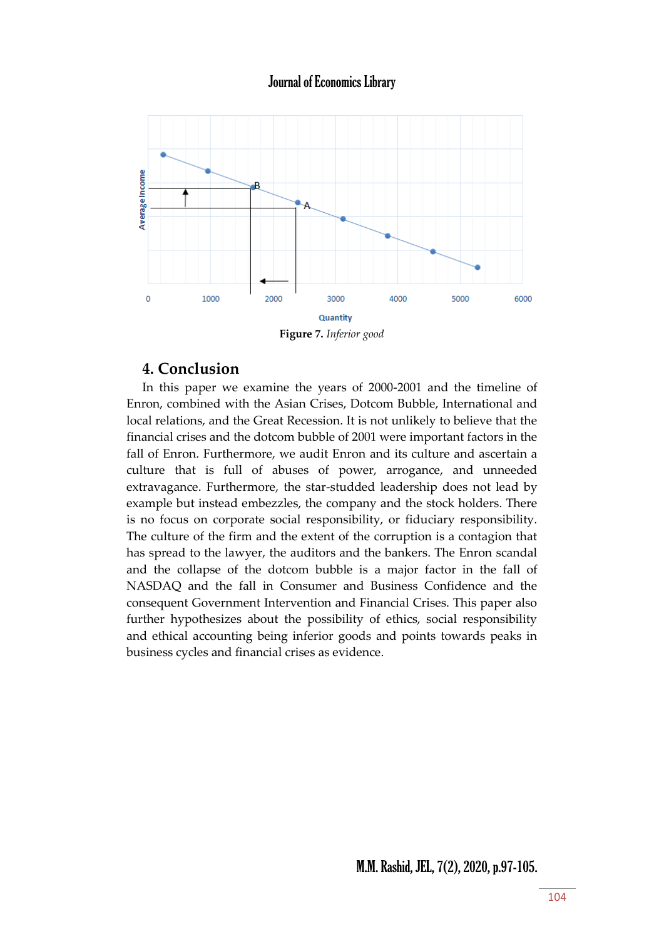

**Figure 7.** *Inferior good*

## **4. Conclusion**

In this paper we examine the years of 2000-2001 and the timeline of Enron, combined with the Asian Crises, Dotcom Bubble, International and local relations, and the Great Recession. It is not unlikely to believe that the financial crises and the dotcom bubble of 2001 were important factors in the fall of Enron. Furthermore, we audit Enron and its culture and ascertain a culture that is full of abuses of power, arrogance, and unneeded extravagance. Furthermore, the star-studded leadership does not lead by example but instead embezzles, the company and the stock holders. There is no focus on corporate social responsibility, or fiduciary responsibility. The culture of the firm and the extent of the corruption is a contagion that has spread to the lawyer, the auditors and the bankers. The Enron scandal and the collapse of the dotcom bubble is a major factor in the fall of NASDAQ and the fall in Consumer and Business Confidence and the consequent Government Intervention and Financial Crises. This paper also further hypothesizes about the possibility of ethics, social responsibility and ethical accounting being inferior goods and points towards peaks in business cycles and financial crises as evidence.